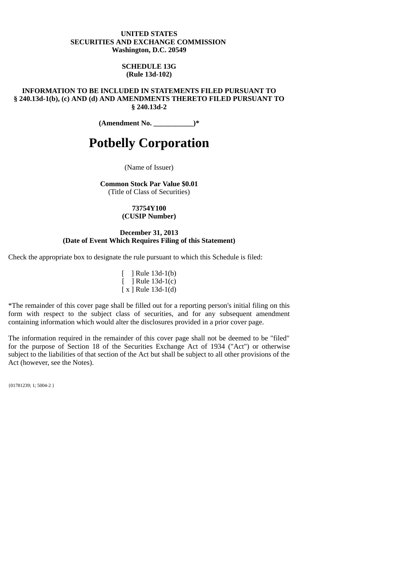#### **UNITED STATES SECURITIES AND EXCHANGE COMMISSION Washington, D.C. 20549**

### **SCHEDULE 13G (Rule 13d-102)**

**INFORMATION TO BE INCLUDED IN STATEMENTS FILED PURSUANT TO § 240.13d-1(b), (c) AND (d) AND AMENDMENTS THERETO FILED PURSUANT TO § 240.13d-2**

**(Amendment No. \_\_\_\_\_\_\_\_\_\_\_)\***

# **Potbelly Corporation**

(Name of Issuer)

**Common Stock Par Value \$0.01**

(Title of Class of Securities)

**73754Y100 (CUSIP Number)**

#### **December 31, 2013 (Date of Event Which Requires Filing of this Statement)**

Check the appropriate box to designate the rule pursuant to which this Schedule is filed:

[ ] Rule 13d-1(b) [ ] Rule 13d-1(c) [ x ] Rule 13d-1(d)

\*The remainder of this cover page shall be filled out for a reporting person's initial filing on this form with respect to the subject class of securities, and for any subsequent amendment containing information which would alter the disclosures provided in a prior cover page.

The information required in the remainder of this cover page shall not be deemed to be "filed" for the purpose of Section 18 of the Securities Exchange Act of 1934 ("Act") or otherwise subject to the liabilities of that section of the Act but shall be subject to all other provisions of the Act (however, see the Notes).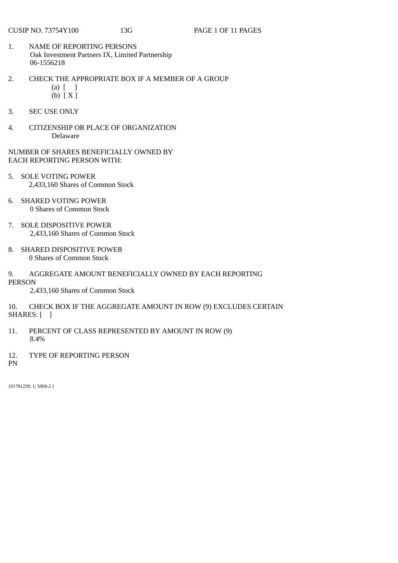- 1. NAME OF REPORTING PERSONS Oak Investment Partners IX, Limited Partnership 06-1556218
- 2. CHECK THE APPROPRIATE BOX IF A MEMBER OF A GROUP  $(a)$   $\begin{bmatrix} 1 \end{bmatrix}$ (b) [ X ]
- 3. SEC USE ONLY
- 4. CITIZENSHIP OR PLACE OF ORGANIZATION Delaware
- NUMBER OF SHARES BENEFICIALLY OWNED BY EACH REPORTING PERSON WITH:
- 5. SOLE VOTING POWER 2,433,160 Shares of Common Stock
- 6. SHARED VOTING POWER 0 Shares of Common Stock
- 7. SOLE DISPOSITIVE POWER 2,433,160 Shares of Common Stock
- 8. SHARED DISPOSITIVE POWER 0 Shares of Common Stock
- 9. AGGREGATE AMOUNT BENEFICIALLY OWNED BY EACH REPORTING PERSON
	- 2,433,160 Shares of Common Stock
- 10. CHECK BOX IF THE AGGREGATE AMOUNT IN ROW (9) EXCLUDES CERTAIN SHARES: [ ]
- 11. PERCENT OF CLASS REPRESENTED BY AMOUNT IN ROW (9) 8.4%
- 12. TYPE OF REPORTING PERSON
- PN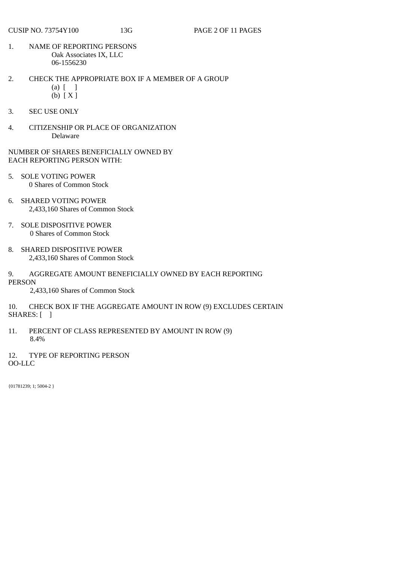- 1. NAME OF REPORTING PERSONS Oak Associates IX, LLC 06-1556230
- 2. CHECK THE APPROPRIATE BOX IF A MEMBER OF A GROUP (a) [ ]
	- (b) [ X ]
- 3. SEC USE ONLY
- 4. CITIZENSHIP OR PLACE OF ORGANIZATION Delaware
- NUMBER OF SHARES BENEFICIALLY OWNED BY EACH REPORTING PERSON WITH:
- 5. SOLE VOTING POWER 0 Shares of Common Stock
- 6. SHARED VOTING POWER 2,433,160 Shares of Common Stock
- 7. SOLE DISPOSITIVE POWER 0 Shares of Common Stock
- 8. SHARED DISPOSITIVE POWER 2,433,160 Shares of Common Stock
- 9. AGGREGATE AMOUNT BENEFICIALLY OWNED BY EACH REPORTING PERSON
	- 2,433,160 Shares of Common Stock
- 10. CHECK BOX IF THE AGGREGATE AMOUNT IN ROW (9) EXCLUDES CERTAIN SHARES: [ ]
- 11. PERCENT OF CLASS REPRESENTED BY AMOUNT IN ROW (9) 8.4%
- 12. TYPE OF REPORTING PERSON OO-LLC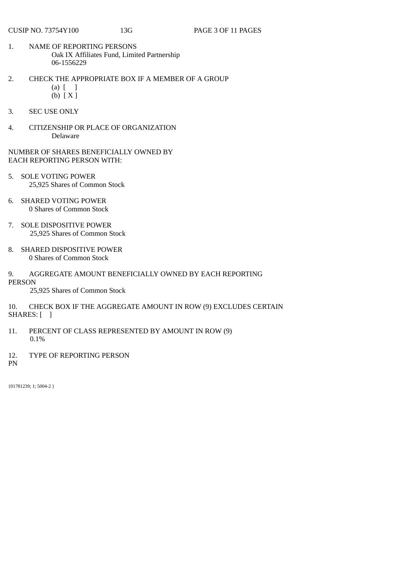- 1. NAME OF REPORTING PERSONS Oak IX Affiliates Fund, Limited Partnership 06-1556229
- 2. CHECK THE APPROPRIATE BOX IF A MEMBER OF A GROUP (a) [ ]
	- (b) [ X ]
- 3. SEC USE ONLY
- 4. CITIZENSHIP OR PLACE OF ORGANIZATION Delaware
- NUMBER OF SHARES BENEFICIALLY OWNED BY EACH REPORTING PERSON WITH:
- 5. SOLE VOTING POWER 25,925 Shares of Common Stock
- 6. SHARED VOTING POWER 0 Shares of Common Stock
- 7. SOLE DISPOSITIVE POWER 25,925 Shares of Common Stock
- 8. SHARED DISPOSITIVE POWER 0 Shares of Common Stock
- 9. AGGREGATE AMOUNT BENEFICIALLY OWNED BY EACH REPORTING PERSON
	- 25,925 Shares of Common Stock
- 10. CHECK BOX IF THE AGGREGATE AMOUNT IN ROW (9) EXCLUDES CERTAIN SHARES: [ ]
- 11. PERCENT OF CLASS REPRESENTED BY AMOUNT IN ROW (9) 0.1%
- 12. TYPE OF REPORTING PERSON
- PN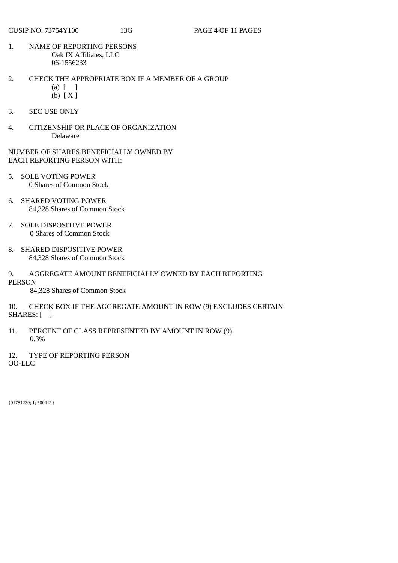- 1. NAME OF REPORTING PERSONS Oak IX Affiliates, LLC 06-1556233
- 2. CHECK THE APPROPRIATE BOX IF A MEMBER OF A GROUP (a) [ ]
	- (b) [ X ]
- 3. SEC USE ONLY
- 4. CITIZENSHIP OR PLACE OF ORGANIZATION Delaware
- NUMBER OF SHARES BENEFICIALLY OWNED BY EACH REPORTING PERSON WITH:
- 5. SOLE VOTING POWER 0 Shares of Common Stock
- 6. SHARED VOTING POWER 84,328 Shares of Common Stock
- 7. SOLE DISPOSITIVE POWER 0 Shares of Common Stock
- 8. SHARED DISPOSITIVE POWER 84,328 Shares of Common Stock
- 9. AGGREGATE AMOUNT BENEFICIALLY OWNED BY EACH REPORTING PERSON
	- 84,328 Shares of Common Stock
- 10. CHECK BOX IF THE AGGREGATE AMOUNT IN ROW (9) EXCLUDES CERTAIN SHARES: [ ]
- 11. PERCENT OF CLASS REPRESENTED BY AMOUNT IN ROW (9) 0.3%
- 12. TYPE OF REPORTING PERSON

OO-LLC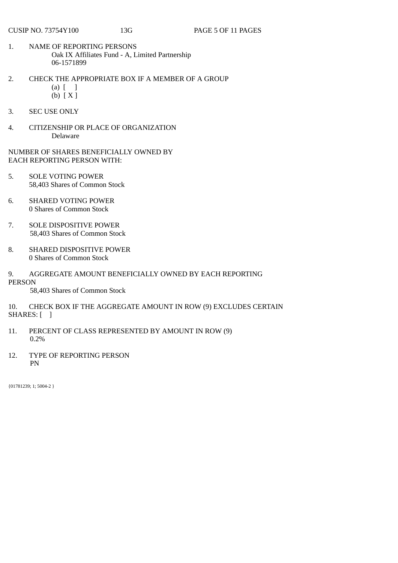- 1. NAME OF REPORTING PERSONS Oak IX Affiliates Fund - A, Limited Partnership 06-1571899
- 2. CHECK THE APPROPRIATE BOX IF A MEMBER OF A GROUP (a) [ ]
	- (b) [ X ]
- 3. SEC USE ONLY
- 4. CITIZENSHIP OR PLACE OF ORGANIZATION Delaware

- 5. SOLE VOTING POWER 58,403 Shares of Common Stock
- 6. SHARED VOTING POWER 0 Shares of Common Stock
- 7. SOLE DISPOSITIVE POWER 58,403 Shares of Common Stock
- 8. SHARED DISPOSITIVE POWER 0 Shares of Common Stock
- 9. AGGREGATE AMOUNT BENEFICIALLY OWNED BY EACH REPORTING PERSON

58,403 Shares of Common Stock

10. CHECK BOX IF THE AGGREGATE AMOUNT IN ROW (9) EXCLUDES CERTAIN SHARES: [ ]

- 11. PERCENT OF CLASS REPRESENTED BY AMOUNT IN ROW (9) 0.2%
- 12. TYPE OF REPORTING PERSON PN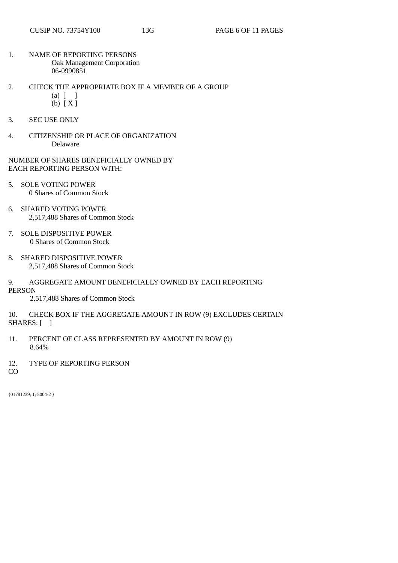- 1. NAME OF REPORTING PERSONS Oak Management Corporation 06-0990851
- 2. CHECK THE APPROPRIATE BOX IF A MEMBER OF A GROUP  $(a)$   $\begin{bmatrix} 1 \end{bmatrix}$ 
	- (b) [ X ]
- 3. SEC USE ONLY
- 4. CITIZENSHIP OR PLACE OF ORGANIZATION Delaware
- NUMBER OF SHARES BENEFICIALLY OWNED BY EACH REPORTING PERSON WITH:
- 5. SOLE VOTING POWER 0 Shares of Common Stock
- 6. SHARED VOTING POWER 2,517,488 Shares of Common Stock
- 7. SOLE DISPOSITIVE POWER 0 Shares of Common Stock
- 8. SHARED DISPOSITIVE POWER 2,517,488 Shares of Common Stock
- 9. AGGREGATE AMOUNT BENEFICIALLY OWNED BY EACH REPORTING

PERSON

2,517,488 Shares of Common Stock

- 10. CHECK BOX IF THE AGGREGATE AMOUNT IN ROW (9) EXCLUDES CERTAIN SHARES: [ ]
- 11. PERCENT OF CLASS REPRESENTED BY AMOUNT IN ROW (9) 8.64%
- 12. TYPE OF REPORTING PERSON

CO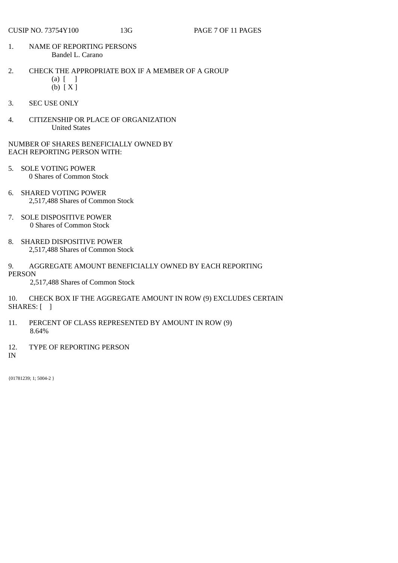- 1. NAME OF REPORTING PERSONS Bandel L. Carano
- 2. CHECK THE APPROPRIATE BOX IF A MEMBER OF A GROUP  $(a)$   $\begin{bmatrix} 1 \end{bmatrix}$ 
	- (b) [ X ]
- 3. SEC USE ONLY
- 4. CITIZENSHIP OR PLACE OF ORGANIZATION United States

- 5. SOLE VOTING POWER 0 Shares of Common Stock
- 6. SHARED VOTING POWER 2,517,488 Shares of Common Stock
- 7. SOLE DISPOSITIVE POWER 0 Shares of Common Stock
- 8. SHARED DISPOSITIVE POWER 2,517,488 Shares of Common Stock
- 9. AGGREGATE AMOUNT BENEFICIALLY OWNED BY EACH REPORTING PERSON

2,517,488 Shares of Common Stock

10. CHECK BOX IF THE AGGREGATE AMOUNT IN ROW (9) EXCLUDES CERTAIN SHARES: [ ]

- 11. PERCENT OF CLASS REPRESENTED BY AMOUNT IN ROW (9) 8.64%
- 12. TYPE OF REPORTING PERSON
- IN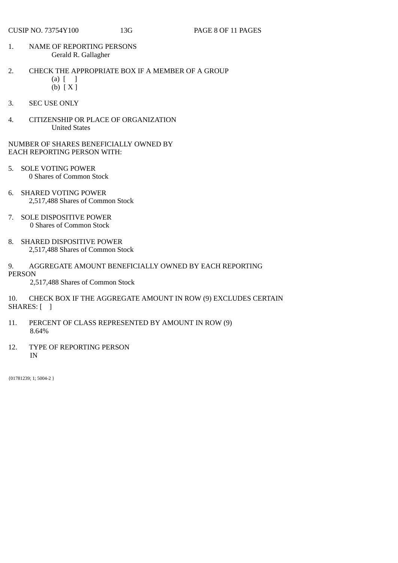- 1. NAME OF REPORTING PERSONS Gerald R. Gallagher
- 2. CHECK THE APPROPRIATE BOX IF A MEMBER OF A GROUP  $(a)$   $\lceil$   $\rceil$ 
	- (b) [ X ]
- 3. SEC USE ONLY
- 4. CITIZENSHIP OR PLACE OF ORGANIZATION United States

- 5. SOLE VOTING POWER 0 Shares of Common Stock
- 6. SHARED VOTING POWER 2,517,488 Shares of Common Stock
- 7. SOLE DISPOSITIVE POWER 0 Shares of Common Stock
- 8. SHARED DISPOSITIVE POWER 2,517,488 Shares of Common Stock
- 9. AGGREGATE AMOUNT BENEFICIALLY OWNED BY EACH REPORTING PERSON

2,517,488 Shares of Common Stock

10. CHECK BOX IF THE AGGREGATE AMOUNT IN ROW (9) EXCLUDES CERTAIN SHARES: [ ]

- 11. PERCENT OF CLASS REPRESENTED BY AMOUNT IN ROW (9) 8.64%
- 12. TYPE OF REPORTING PERSON IN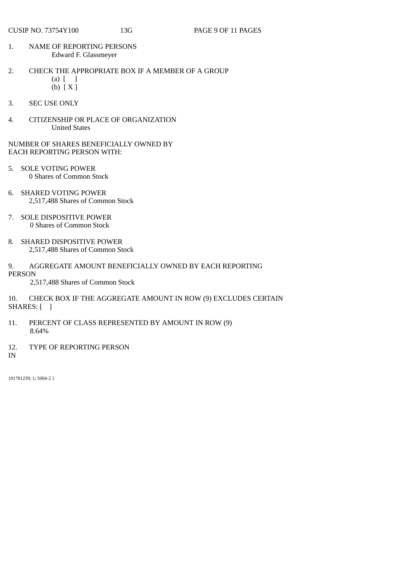- 1. NAME OF REPORTING PERSONS Edward F. Glassmeyer
- 2. CHECK THE APPROPRIATE BOX IF A MEMBER OF A GROUP  $(a)$   $\lceil$   $\rceil$ (b) [ X ]
- 3. SEC USE ONLY
- 4. CITIZENSHIP OR PLACE OF ORGANIZATION United States

- 5. SOLE VOTING POWER 0 Shares of Common Stock
- 6. SHARED VOTING POWER 2,517,488 Shares of Common Stock
- 7. SOLE DISPOSITIVE POWER 0 Shares of Common Stock
- 8. SHARED DISPOSITIVE POWER 2,517,488 Shares of Common Stock
- 9. AGGREGATE AMOUNT BENEFICIALLY OWNED BY EACH REPORTING PERSON

2,517,488 Shares of Common Stock

10. CHECK BOX IF THE AGGREGATE AMOUNT IN ROW (9) EXCLUDES CERTAIN SHARES: [ ]

- 11. PERCENT OF CLASS REPRESENTED BY AMOUNT IN ROW (9) 8.64%
- 12. TYPE OF REPORTING PERSON
- IN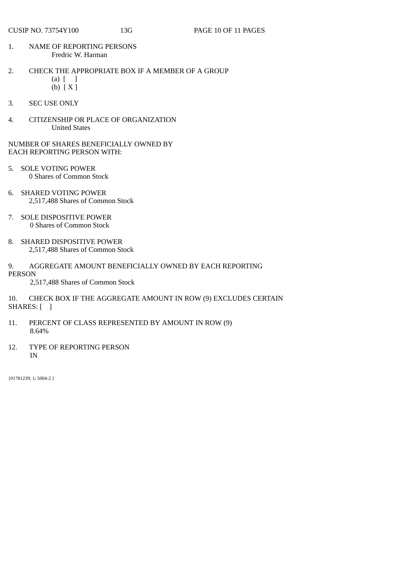- 1. NAME OF REPORTING PERSONS Fredric W. Harman
- 2. CHECK THE APPROPRIATE BOX IF A MEMBER OF A GROUP  $(a)$   $\begin{bmatrix} 1 \end{bmatrix}$ 
	- (b) [ X ]
- 3. SEC USE ONLY
- 4. CITIZENSHIP OR PLACE OF ORGANIZATION United States

- 5. SOLE VOTING POWER 0 Shares of Common Stock
- 6. SHARED VOTING POWER 2,517,488 Shares of Common Stock
- 7. SOLE DISPOSITIVE POWER 0 Shares of Common Stock
- 8. SHARED DISPOSITIVE POWER 2,517,488 Shares of Common Stock
- 9. AGGREGATE AMOUNT BENEFICIALLY OWNED BY EACH REPORTING PERSON

2,517,488 Shares of Common Stock

10. CHECK BOX IF THE AGGREGATE AMOUNT IN ROW (9) EXCLUDES CERTAIN SHARES: [ ]

- 11. PERCENT OF CLASS REPRESENTED BY AMOUNT IN ROW (9) 8.64%
- 12. TYPE OF REPORTING PERSON IN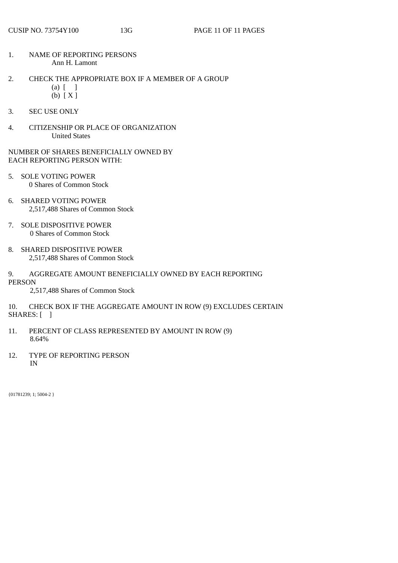- 1. NAME OF REPORTING PERSONS Ann H. Lamont
- 2. CHECK THE APPROPRIATE BOX IF A MEMBER OF A GROUP
	- $(a)$   $\begin{bmatrix} 1 \end{bmatrix}$ (b) [ X ]
	-
- 3. SEC USE ONLY
- 4. CITIZENSHIP OR PLACE OF ORGANIZATION United States
- NUMBER OF SHARES BENEFICIALLY OWNED BY EACH REPORTING PERSON WITH:
- 5. SOLE VOTING POWER 0 Shares of Common Stock
- 6. SHARED VOTING POWER 2,517,488 Shares of Common Stock
- 7. SOLE DISPOSITIVE POWER 0 Shares of Common Stock
- 8. SHARED DISPOSITIVE POWER 2,517,488 Shares of Common Stock
- 9. AGGREGATE AMOUNT BENEFICIALLY OWNED BY EACH REPORTING PERSON
	- 2,517,488 Shares of Common Stock
- 10. CHECK BOX IF THE AGGREGATE AMOUNT IN ROW (9) EXCLUDES CERTAIN SHARES: [ ]
- 11. PERCENT OF CLASS REPRESENTED BY AMOUNT IN ROW (9) 8.64%
- 12. TYPE OF REPORTING PERSON IN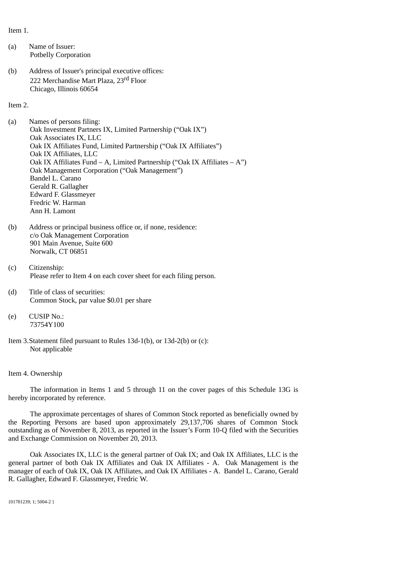Item 1.

- (a) Name of Issuer: Potbelly Corporation
- (b) Address of Issuer's principal executive offices: 222 Merchandise Mart Plaza, 23<sup>rd</sup> Floor Chicago, Illinois 60654

Item 2.

- (a) Names of persons filing: Oak Investment Partners IX, Limited Partnership ("Oak IX") Oak Associates IX, LLC Oak IX Affiliates Fund, Limited Partnership ("Oak IX Affiliates") Oak IX Affiliates, LLC Oak IX Affiliates Fund – A, Limited Partnership ("Oak IX Affiliates – A") Oak Management Corporation ("Oak Management") Bandel L. Carano Gerald R. Gallagher Edward F. Glassmeyer Fredric W. Harman Ann H. Lamont
- (b) Address or principal business office or, if none, residence: c/o Oak Management Corporation 901 Main Avenue, Suite 600 Norwalk, CT 06851
- (c) Citizenship: Please refer to Item 4 on each cover sheet for each filing person.
- (d) Title of class of securities: Common Stock, par value \$0.01 per share
- (e) CUSIP No.: 73754Y100
- Item 3. Statement filed pursuant to Rules 13d-1(b), or 13d-2(b) or (c): Not applicable

#### Item 4. Ownership

The information in Items 1 and 5 through 11 on the cover pages of this Schedule 13G is hereby incorporated by reference.

The approximate percentages of shares of Common Stock reported as beneficially owned by the Reporting Persons are based upon approximately 29,137,706 shares of Common Stock outstanding as of November 8, 2013, as reported in the Issuer's Form 10-Q filed with the Securities and Exchange Commission on November 20, 2013.

Oak Associates IX, LLC is the general partner of Oak IX; and Oak IX Affiliates, LLC is the general partner of both Oak IX Affiliates and Oak IX Affiliates - A. Oak Management is the manager of each of Oak IX, Oak IX Affiliates, and Oak IX Affiliates - A. Bandel L. Carano, Gerald R. Gallagher, Edward F. Glassmeyer, Fredric W.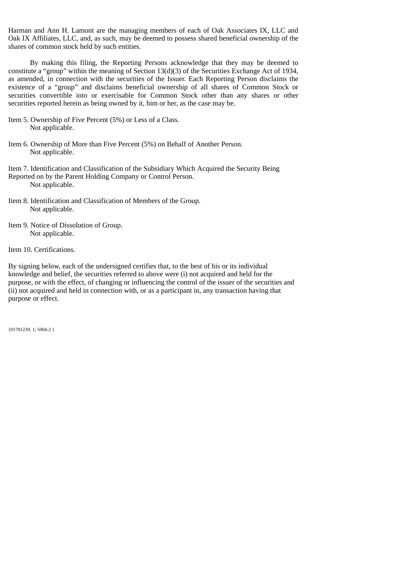Harman and Ann H. Lamont are the managing members of each of Oak Associates IX, LLC and Oak IX Affiliates, LLC, and, as such, may be deemed to possess shared beneficial ownership of the shares of common stock held by such entities.

By making this filing, the Reporting Persons acknowledge that they may be deemed to constitute a "group" within the meaning of Section 13(d)(3) of the Securities Exchange Act of 1934, as amended, in connection with the securities of the Issuer. Each Reporting Person disclaims the existence of a "group" and disclaims beneficial ownership of all shares of Common Stock or securities convertible into or exercisable for Common Stock other than any shares or other securities reported herein as being owned by it, him or her, as the case may be.

- Item 5. Ownership of Five Percent (5%) or Less of a Class. Not applicable.
- Item 6. Ownership of More than Five Percent (5%) on Behalf of Another Person. Not applicable.

Item 7. Identification and Classification of the Subsidiary Which Acquired the Security Being Reported on by the Parent Holding Company or Control Person. Not applicable.

- Item 8. Identification and Classification of Members of the Group. Not applicable.
- Item 9. Notice of Dissolution of Group. Not applicable.
- Item 10. Certifications.

By signing below, each of the undersigned certifies that, to the best of his or its individual knowledge and belief, the securities referred to above were (i) not acquired and held for the purpose, or with the effect, of changing or influencing the control of the issuer of the securities and (ii) not acquired and held in connection with, or as a participant in, any transaction having that purpose or effect.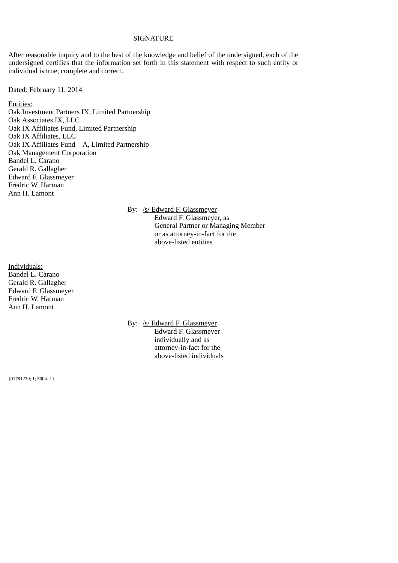#### **SIGNATURE**

After reasonable inquiry and to the best of the knowledge and belief of the undersigned, each of the undersigned certifies that the information set forth in this statement with respect to such entity or individual is true, complete and correct.

Dated: February 11, 2014

Entities: Oak Investment Partners IX, Limited Partnership Oak Associates IX, LLC Oak IX Affiliates Fund, Limited Partnership Oak IX Affiliates, LLC Oak IX Affiliates Fund – A, Limited Partnership Oak Management Corporation Bandel L. Carano Gerald R. Gallagher Edward F. Glassmeyer Fredric W. Harman Ann H. Lamont

By: /s/ Edward F. Glassmeyer

Edward F. Glassmeyer, as General Partner or Managing Member or as attorney-in-fact for the above-listed entities

Individuals: Bandel L. Carano Gerald R. Gallagher Edward F. Glassmeyer Fredric W. Harman Ann H. Lamont

> By: /s/ Edward F. Glassmeyer Edward F. Glassmeyer individually and as attorney-in-fact for the above-listed individuals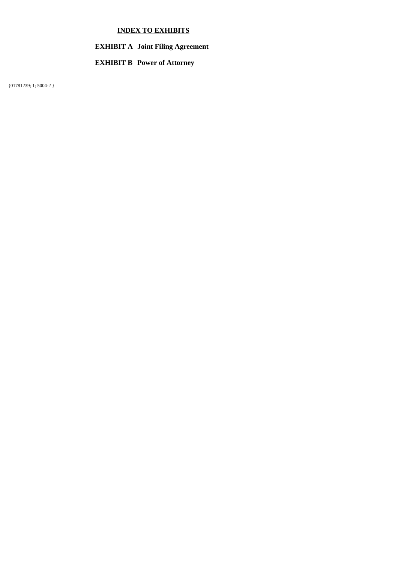# **INDEX TO EXHIBITS**

#### **EXHIBIT A Joint Filing Agreement**

#### **EXHIBIT B Power of Attorney**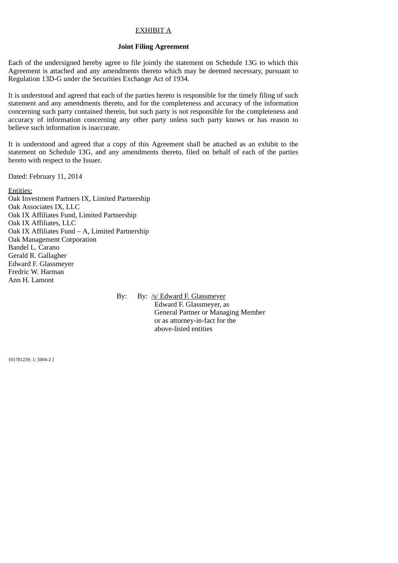## EXHIBIT A

#### **Joint Filing Agreement**

Each of the undersigned hereby agree to file jointly the statement on Schedule 13G to which this Agreement is attached and any amendments thereto which may be deemed necessary, pursuant to Regulation 13D-G under the Securities Exchange Act of 1934.

It is understood and agreed that each of the parties hereto is responsible for the timely filing of such statement and any amendments thereto, and for the completeness and accuracy of the information concerning such party contained therein, but such party is not responsible for the completeness and accuracy of information concerning any other party unless such party knows or has reason to believe such information is inaccurate.

It is understood and agreed that a copy of this Agreement shall be attached as an exhibit to the statement on Schedule 13G, and any amendments thereto, filed on behalf of each of the parties hereto with respect to the Issuer.

Dated: February 11, 2014

Entities: Oak Investment Partners IX, Limited Partnership Oak Associates IX, LLC Oak IX Affiliates Fund, Limited Partnership Oak IX Affiliates, LLC Oak IX Affiliates Fund – A, Limited Partnership Oak Management Corporation Bandel L. Carano Gerald R. Gallagher Edward F. Glassmeyer Fredric W. Harman Ann H. Lamont

> By: By: /s/ Edward F. Glassmeyer Edward F. Glassmeyer, as General Partner or Managing Member or as attorney-in-fact for the above-listed entities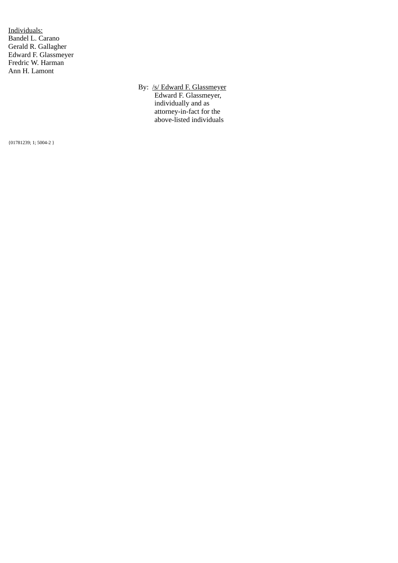Individuals: Bandel L. Carano Gerald R. Gallagher Edward F. Glassmeyer Fredric W. Harman Ann H. Lamont

> By: /s/ Edward F. Glassmeyer Edward F. Glassmeyer, individually and as attorney-in-fact for the above-listed individuals